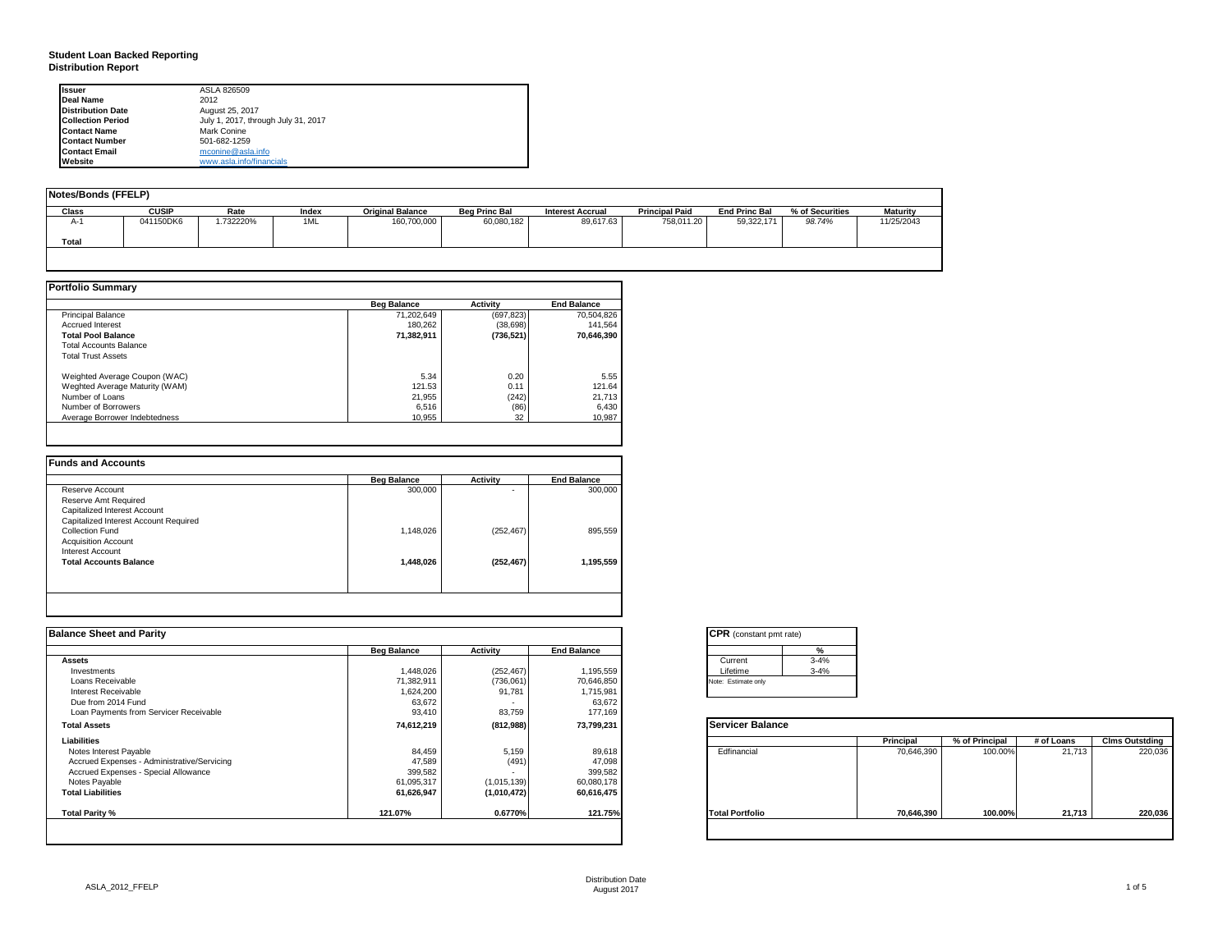### **Student Loan Backed Reporting Distribution Report**

| <b>Issuer</b>            | ASLA 826509                         |
|--------------------------|-------------------------------------|
| Deal Name                | 2012                                |
| <b>Distribution Date</b> | August 25, 2017                     |
| <b>Collection Period</b> | July 1, 2017, through July 31, 2017 |
| <b>Contact Name</b>      | Mark Conine                         |
| <b>Contact Number</b>    | 501-682-1259                        |
| <b>Contact Email</b>     | mconine@asla.info                   |
| Website                  | www.asla.info/financials            |

| Notes/Bonds (FFELP) |              |          |       |                         |                      |                         |                       |                      |                 |                 |
|---------------------|--------------|----------|-------|-------------------------|----------------------|-------------------------|-----------------------|----------------------|-----------------|-----------------|
| Class               | <b>CUSIP</b> | Rate     | Index | <b>Original Balance</b> | <b>Bea Princ Bal</b> | <b>Interest Accrual</b> | <b>Principal Paid</b> | <b>End Princ Bal</b> | % of Securities | <b>Maturity</b> |
| $A-$                | 041150DK6    | .732220% | 1ML   | 160,700,000             | 60,080,182           | 89,617.63               | 758.011.20            | 59,322,171           | 98.74%          | 11/25/2043      |
| Total               |              |          |       |                         |                      |                         |                       |                      |                 |                 |
|                     |              |          |       |                         |                      |                         |                       |                      |                 |                 |

|                                | <b>Beg Balance</b> | <b>Activity</b> | <b>End Balance</b> |
|--------------------------------|--------------------|-----------------|--------------------|
| <b>Principal Balance</b>       | 71.202.649         | (697, 823)      | 70,504,826         |
| <b>Accrued Interest</b>        | 180.262            | (38, 698)       | 141.564            |
| <b>Total Pool Balance</b>      | 71,382,911         | (736, 521)      | 70.646.390         |
| <b>Total Accounts Balance</b>  |                    |                 |                    |
| <b>Total Trust Assets</b>      |                    |                 |                    |
| Weighted Average Coupon (WAC)  | 5.34               | 0.20            | 5.55               |
| Weghted Average Maturity (WAM) | 121.53             | 0.11            | 121.64             |
| Number of Loans                | 21.955             | (242)           | 21.713             |
| Number of Borrowers            | 6.516              | (86)            | 6,430              |
| Average Borrower Indebtedness  | 10.955             | 32              | 10,987             |

|                                       | <b>Beg Balance</b> | <b>Activity</b> | <b>End Balance</b> |
|---------------------------------------|--------------------|-----------------|--------------------|
| Reserve Account                       | 300,000            | ۰               | 300,000            |
| Reserve Amt Required                  |                    |                 |                    |
| Capitalized Interest Account          |                    |                 |                    |
| Capitalized Interest Account Required |                    |                 |                    |
| Collection Fund                       | 1,148,026          | (252, 467)      | 895,559            |
| <b>Acquisition Account</b>            |                    |                 |                    |
| Interest Account                      |                    |                 |                    |
| <b>Total Accounts Balance</b>         | 1,448,026          | (252, 467)      | 1,195,559          |
|                                       |                    |                 |                    |
|                                       |                    |                 |                    |

| <b>Balance Sheet and Parity</b>             |                    |             |                    | <b>CPR</b> (constant pmt rate) |            |                |            |                       |
|---------------------------------------------|--------------------|-------------|--------------------|--------------------------------|------------|----------------|------------|-----------------------|
|                                             | <b>Beg Balance</b> | Activity    | <b>End Balance</b> | $\frac{9}{6}$                  |            |                |            |                       |
| <b>Assets</b>                               |                    |             |                    | $3 - 4%$<br>Current            |            |                |            |                       |
| Investments                                 | 1,448,026          | (252, 467)  | 1,195,559          | $3 - 4%$<br>Lifetime           |            |                |            |                       |
| Loans Receivable                            | 71,382,911         | (736,061)   | 70,646,850         | Note: Estimate only            |            |                |            |                       |
| Interest Receivable                         | 1,624,200          | 91,781      | 1,715,981          |                                |            |                |            |                       |
| Due from 2014 Fund                          | 63,672             |             | 63,672             |                                |            |                |            |                       |
| Loan Payments from Servicer Receivable      | 93,410             | 83,759      | 177,169            |                                |            |                |            |                       |
| <b>Total Assets</b>                         | 74,612,219         | (812,988)   | 73,799,231         | Servicer Balance               |            |                |            |                       |
| Liabilities                                 |                    |             |                    |                                | Principal  | % of Principal | # of Loans | <b>Clms Outstding</b> |
| Notes Interest Payable                      | 84,459             | 5,159       | 89,618             | Edfinancial                    | 70,646,390 | 100.00%        | 21,713     | 220,036               |
| Accrued Expenses - Administrative/Servicing | 47,589             | (491)       | 47,098             |                                |            |                |            |                       |
| Accrued Expenses - Special Allowance        | 399,582            | <b>COL</b>  | 399,582            |                                |            |                |            |                       |
| Notes Payable                               | 61,095,317         | (1,015,139) | 60,080,178         |                                |            |                |            |                       |
| <b>Total Liabilities</b>                    | 61,626,947         | (1,010,472) | 60,616,475         |                                |            |                |            |                       |
| Total Parity %                              | 121.07%            | 0.6770%     | 121.75%            | <b>Total Portfolio</b>         | 70,646,390 | 100.00%        | 21,713     | 220,036               |
|                                             |                    |             |                    |                                |            |                |            |                       |

| <b>CPR</b> (constant pmt rate) |          |  |  |  |  |  |  |
|--------------------------------|----------|--|--|--|--|--|--|
|                                | ℀        |  |  |  |  |  |  |
| Current                        | $3 - 4%$ |  |  |  |  |  |  |
| Lifetime                       | $3 - 4%$ |  |  |  |  |  |  |
| Note: Estimate only            |          |  |  |  |  |  |  |

|                        | Principal  | % of Principal | # of Loans | <b>Clms Outstding</b> |
|------------------------|------------|----------------|------------|-----------------------|
| Edfinancial            | 70,646,390 | 100.00%        | 21,713     | 220,036               |
| <b>Total Portfolio</b> | 70,646,390 | 100.00%        | 21,713     | 220,036               |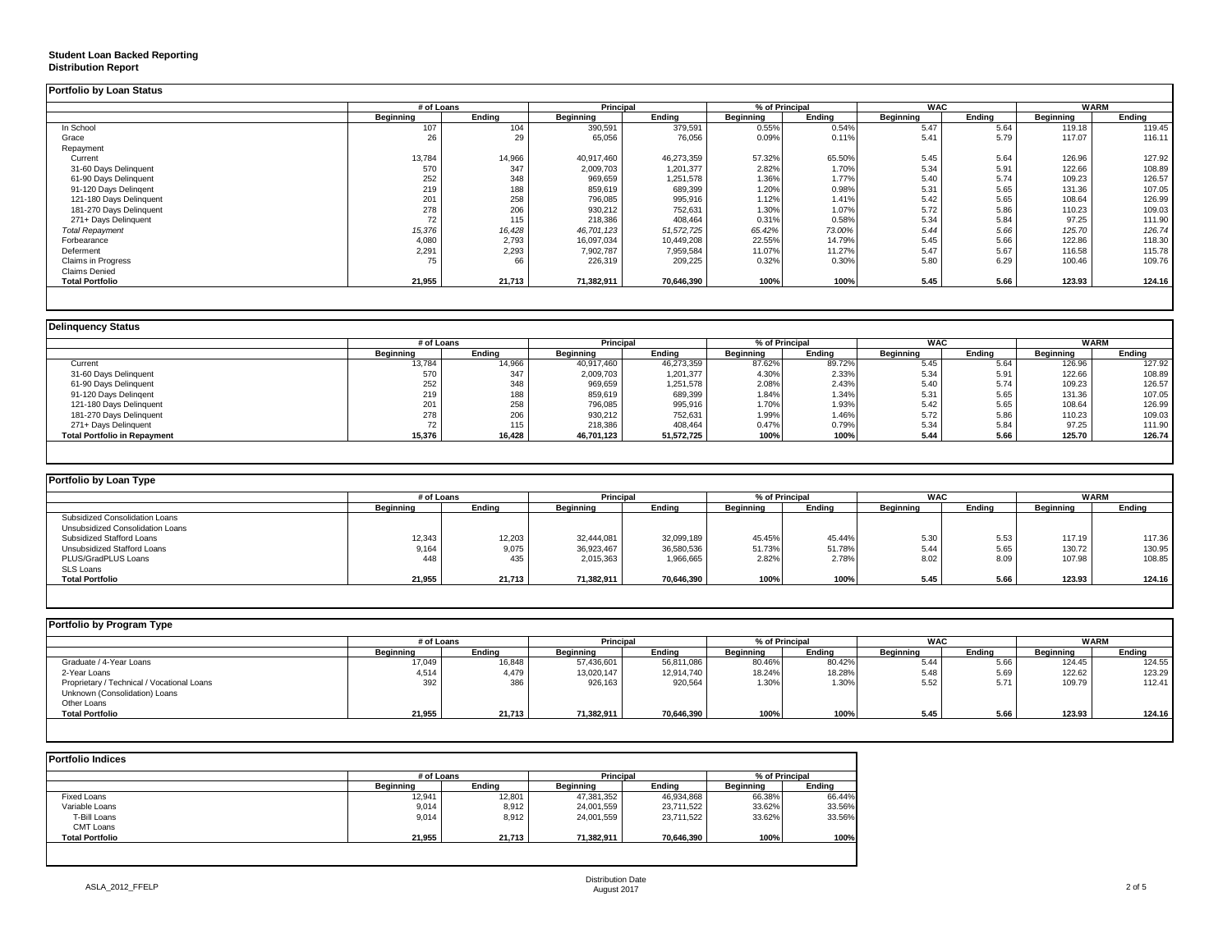### **Student Loan Backed Reporting**

#### **Distribution Report**

| <b>Portfolio by Loan Status</b> |            |        |                  |            |                |        |                  |        |             |        |
|---------------------------------|------------|--------|------------------|------------|----------------|--------|------------------|--------|-------------|--------|
|                                 | # of Loans |        | <b>Principal</b> |            | % of Principal |        | <b>WAC</b>       |        | <b>WARM</b> |        |
|                                 | Beginning  | Endina | Beginning        | Endina     | Beginning      | Endina | <b>Beginning</b> | Endina | Beginning   | Ending |
| In School                       | 107        | 104    | 390,591          | 379,591    | 0.55%          | 0.54%  | 5.47             | 5.64   | 119.18      | 119.45 |
| Grace                           | 26         | 29     | 65,056           | 76,056     | 0.09%          | 0.11%  | 5.41             | 5.79   | 117.07      | 116.11 |
| Repayment                       |            |        |                  |            |                |        |                  |        |             |        |
| Current                         | 13,784     | 14,966 | 40,917,460       | 46,273,359 | 57.32%         | 65.50% | 5.45             | 5.64   | 126.96      | 127.92 |
| 31-60 Days Delinquent           | 570        | 347    | 2,009,703        | 1,201,377  | 2.82%          | 1.70%  | 5.34             | 5.91   | 122.66      | 108.89 |
| 61-90 Days Delinquent           | 252        | 348    | 969,659          | 1,251,578  | 1.36%          | 1.77%  | 5.40             | 5.74   | 109.23      | 126.57 |
| 91-120 Days Delingent           | 219        | 188    | 859,619          | 689,399    | 1.20%          | 0.98%  | 5.31             | 5.65   | 131.36      | 107.05 |
| 121-180 Days Delinquent         | 201        | 258    | 796,085          | 995,916    | 1.12%          | 1.41%  | 5.42             | 5.65   | 108.64      | 126.99 |
| 181-270 Days Delinquent         | 278        | 206    | 930,212          | 752,631    | 1.30%          | 1.07%  | 5.72             | 5.86   | 110.23      | 109.03 |
| 271+ Days Delinquent            | 72         | 115    | 218,386          | 408,464    | 0.31%          | 0.58%  | 5.34             | 5.84   | 97.25       | 111.90 |
| <b>Total Repayment</b>          | 15,376     | 16,428 | 46,701,123       | 51,572,725 | 65.42%         | 73.00% | 5.44             | 5.66   | 125.70      | 126.74 |
| Forbearance                     | 4,080      | 2,793  | 16.097.034       | 10,449,208 | 22.55%         | 14.79% | 5.45             | 5.66   | 122.86      | 118.30 |
| Deferment                       | 2,291      | 2,293  | 7,902,787        | 7,959,584  | 11.07%         | 11.27% | 5.47             | 5.67   | 116.58      | 115.78 |
| Claims in Progress              | 75         | 66     | 226,319          | 209,225    | 0.32%          | 0.30%  | 5.80             | 6.29   | 100.46      | 109.76 |
| <b>Claims Denied</b>            |            |        |                  |            |                |        |                  |        |             |        |
| <b>Total Portfolio</b>          | 21,955     | 21,713 | 71,382,911       | 70,646,390 | 100%           | 100%   | 5.45             | 5.66   | 123.93      | 124.16 |
|                                 |            |        |                  |            |                |        |                  |        |             |        |

|                                     |                  | # of Loans |                  | <b>Principal</b> |           | % of Principal | <b>WAC</b>       |        | <b>WARM</b>      |        |
|-------------------------------------|------------------|------------|------------------|------------------|-----------|----------------|------------------|--------|------------------|--------|
|                                     | <b>Beginning</b> | Ending     | <b>Beginning</b> | Ending           | Beginning | Ending         | <b>Beginning</b> | Endina | <b>Beginning</b> | Ending |
| Current                             | 13,784           | 14,966     | 40,917,460       | 46,273,359       | 87.62%    | 89.72%         | 5.45             | 5.64   | 126.96           | 127.92 |
| 31-60 Days Delinquent               | 570              | 347        | 2,009,703        | 1,201,377        | 4.30%     | 2.33%          | 5.34             | 5.91   | 122.66           | 108.89 |
| 61-90 Days Delinquent               | 252              | 348        | 969,659          | 1,251,578        | 2.08%     | 2.43%          | 5.40             | 5.74   | 109.23           | 126.57 |
| 91-120 Days Delingent               | 219              | 188        | 859,619          | 689,399          | 1.84%     | 1.34%          | 5.31             | 5.65   | 131.36           | 107.05 |
| 121-180 Days Delinquent             | 201              | 258        | 796,085          | 995,916          | 1.70%     | 1.93%          | 5.42             | 5.65   | 108.64           | 126.99 |
| 181-270 Days Delinquent             | 278              | 206        | 930,212          | 752,631          | 1.99%     | 1.46%          | 5.72             | 5.86   | 110.23           | 109.03 |
| 271+ Days Delinquent                |                  | 115        | 218,386          | 408,464          | 0.47%     | 0.79%          | 5.34             | 5.84   | 97.25            | 111.90 |
| <b>Total Portfolio in Repayment</b> | 15,376           | 16,428     | 46,701,123       | 51,572,725       | 100%      | 100%           | 5.44             | 5.66   | 125.70           | 126.74 |

| Portfolio by Loan Type           |                  |        |                  |            |                  |            |                    |             |           |        |
|----------------------------------|------------------|--------|------------------|------------|------------------|------------|--------------------|-------------|-----------|--------|
|                                  | # of Loans       |        | Principal        |            | % of Principal   | <b>WAC</b> |                    | <b>WARM</b> |           |        |
|                                  | <b>Beginning</b> | Ending | <b>Beginning</b> | Ending     | <b>Beainning</b> | Ending     | Beginning          | Ending      | Beginning | Ending |
| Subsidized Consolidation Loans   |                  |        |                  |            |                  |            |                    |             |           |        |
| Unsubsidized Consolidation Loans |                  |        |                  |            |                  |            |                    |             |           |        |
| Subsidized Stafford Loans        | 12,343           | 12,203 | 32.444.081       | 32,099,189 | 45.45%           | 45.44%     | $E \Omega$<br>O.JU | 5.53        | 117.19    | 117.36 |
| Unsubsidized Stafford Loans      | 9,164            | 9,075  | 36,923,467       | 36,580,536 | 51.73%           | 51.78%     | 5.44               | 5.65        | 130.72    | 130.95 |
| PLUS/GradPLUS Loans              | 448              | 435    | 2,015,363        | 1,966,665  | 2.82%            | 2.78%      | 8.02               | 8.09        | 107.98    | 108.85 |
| SLS Loans                        |                  |        |                  |            |                  |            |                    |             |           |        |
| <b>Total Portfolio</b>           | 21,955           | 21,713 | 71,382,911       | 70,646,390 | 100%             | 100%       | 5.45               | 5.66        | 123.93    | 124.16 |

| Portfolio by Program Type                  |           |            |                  |                  |           |                |                  |            |           |             |
|--------------------------------------------|-----------|------------|------------------|------------------|-----------|----------------|------------------|------------|-----------|-------------|
|                                            |           | # of Loans |                  | <b>Principal</b> |           | % of Principal |                  | <b>WAC</b> |           | <b>WARM</b> |
|                                            | Beainnina | Endina     | <b>Beginning</b> | Ending           | Beainnina | Endina         | <b>Beainning</b> | Endina     | Beginning | Ending      |
| Graduate / 4-Year Loans                    | 17,049    | 16,848     | 57,436,601       | 56,811,086       | 80.46%    | 80.42%         | 5.44             | 5.66       | 124.45    | 124.55      |
| 2-Year Loans                               | 4,514     | 4,479      | 13,020,147       | 12,914,740       | 18.24%    | 18.28%         | 5.48             | 5.69       | 122.62    | 123.29      |
| Proprietary / Technical / Vocational Loans | 392       | 386        | 926,163          | 920,564          | 1.30%     | 1.30%          | 5.52             | 5.71       | 109.79    | 112.41      |
| Unknown (Consolidation) Loans              |           |            |                  |                  |           |                |                  |            |           |             |
| Other Loans                                |           |            |                  |                  |           |                |                  |            |           |             |
| <b>Total Portfolio</b>                     | 21,955    | 21,713     | 71,382,911       | 70,646,390       | 100%      | 100%           | 5.45             | 5.66       | 123.93    | 124.16      |
|                                            |           |            |                  |                  |           |                |                  |            |           |             |

| <b>Portfolio Indices</b> |            |        |                  |            |                |        |  |  |  |  |  |
|--------------------------|------------|--------|------------------|------------|----------------|--------|--|--|--|--|--|
|                          | # of Loans |        | <b>Principal</b> |            | % of Principal |        |  |  |  |  |  |
|                          | Beainnina  | Endina | Beginning        | Endina     | Beainnina      | Endina |  |  |  |  |  |
| <b>Fixed Loans</b>       | 12,941     | 12,801 | 47,381,352       | 46,934,868 | 66.38%         | 66.44% |  |  |  |  |  |
| Variable Loans           | 9,014      | 8,912  | 24,001,559       | 23,711,522 | 33.62%         | 33.56% |  |  |  |  |  |
| T-Bill Loans             | 9,014      | 8,912  | 24,001,559       | 23,711,522 | 33.62%         | 33.56% |  |  |  |  |  |
| CMT Loans                |            |        |                  |            |                |        |  |  |  |  |  |
| <b>Total Portfolio</b>   | 21.955     | 21.713 | 71,382,911       | 70.646.390 | 100%           | 100%   |  |  |  |  |  |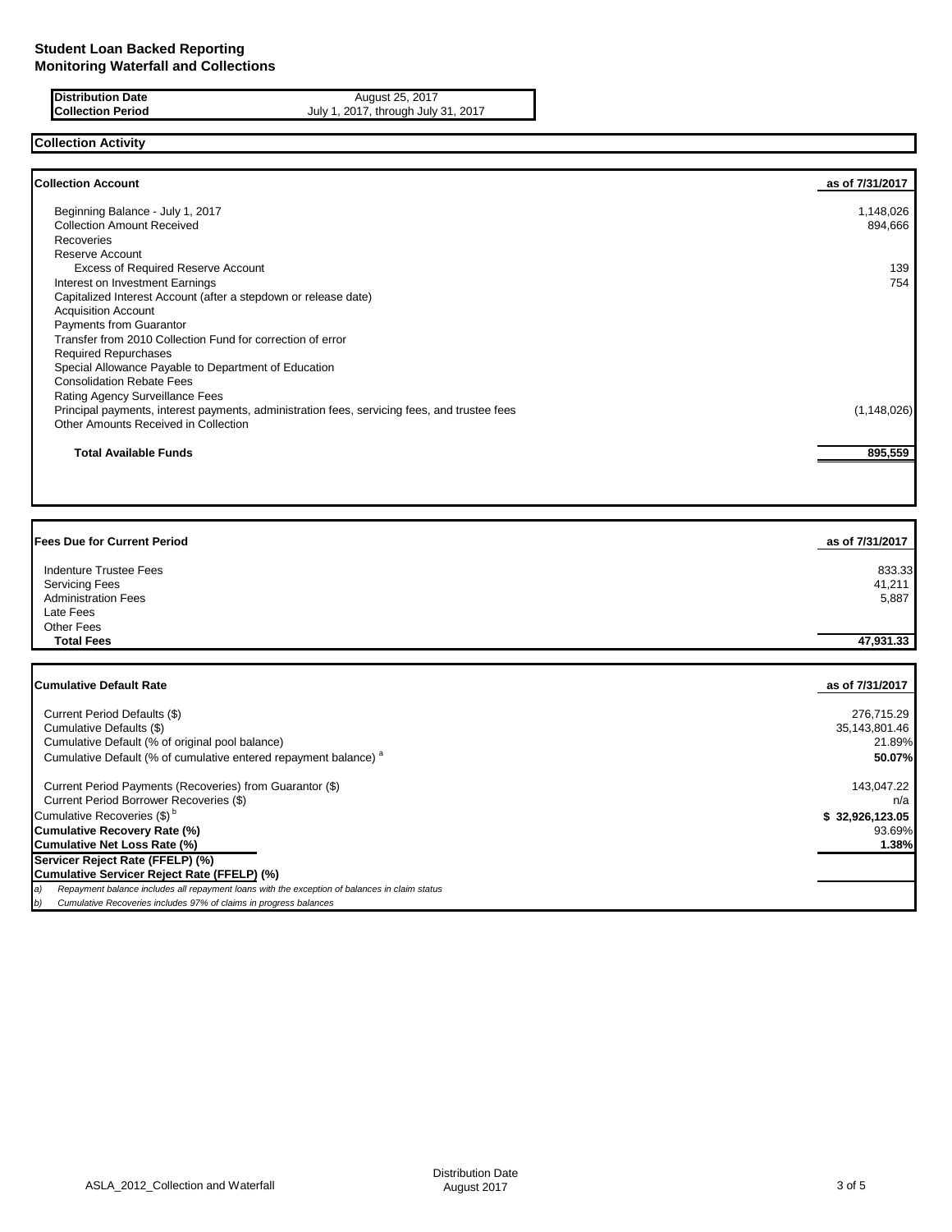| <b>PUSTFIDUTION Date</b> |  |
|--------------------------|--|
| <b>Collection Period</b> |  |

**Distribution Date** August 25, 2017 **Collection Period** July 1, 2017, through July 31, 2017

# **Collection Activity**

| <b>Collection Account</b>                                                                    | as of 7/31/2017 |
|----------------------------------------------------------------------------------------------|-----------------|
| Beginning Balance - July 1, 2017                                                             | 1,148,026       |
| <b>Collection Amount Received</b>                                                            | 894,666         |
| Recoveries                                                                                   |                 |
| Reserve Account                                                                              |                 |
| <b>Excess of Required Reserve Account</b>                                                    | 139             |
| Interest on Investment Earnings                                                              | 754             |
| Capitalized Interest Account (after a stepdown or release date)                              |                 |
| <b>Acquisition Account</b>                                                                   |                 |
| <b>Payments from Guarantor</b>                                                               |                 |
| Transfer from 2010 Collection Fund for correction of error                                   |                 |
| <b>Required Repurchases</b>                                                                  |                 |
| Special Allowance Payable to Department of Education                                         |                 |
| <b>Consolidation Rebate Fees</b>                                                             |                 |
| Rating Agency Surveillance Fees                                                              |                 |
| Principal payments, interest payments, administration fees, servicing fees, and trustee fees | (1, 148, 026)   |
| Other Amounts Received in Collection                                                         |                 |
| <b>Total Available Funds</b>                                                                 | 895,559         |
|                                                                                              |                 |

| <b>Fees Due for Current Period</b> | as of 7/31/2017 |
|------------------------------------|-----------------|
| Indenture Trustee Fees             | 833.33          |
| <b>Servicing Fees</b>              | 41,211          |
| <b>Administration Fees</b>         | 5,887           |
| Late Fees                          |                 |
| Other Fees                         |                 |
| <b>Total Fees</b>                  | 47,931.33       |
|                                    |                 |
|                                    |                 |

| <b>Cumulative Default Rate</b>                                                                      | as of 7/31/2017 |
|-----------------------------------------------------------------------------------------------------|-----------------|
|                                                                                                     |                 |
| Current Period Defaults (\$)                                                                        | 276,715.29      |
| Cumulative Defaults (\$)                                                                            | 35,143,801.46   |
| Cumulative Default (% of original pool balance)                                                     | 21.89%          |
| Cumulative Default (% of cumulative entered repayment balance) <sup>a</sup>                         | 50.07%I         |
| Current Period Payments (Recoveries) from Guarantor (\$)                                            | 143.047.22      |
| Current Period Borrower Recoveries (\$)                                                             | n/a             |
| Cumulative Recoveries (\$) <sup>b</sup>                                                             | \$32,926,123.05 |
| Cumulative Recovery Rate (%)                                                                        | 93.69%          |
| Cumulative Net Loss Rate (%)                                                                        | 1.38%           |
| Servicer Reject Rate (FFELP) (%)                                                                    |                 |
| Cumulative Servicer Reject Rate (FFELP) (%)                                                         |                 |
| Repayment balance includes all repayment loans with the exception of balances in claim status<br>a) |                 |
| Cumulative Recoveries includes 97% of claims in progress balances<br>b)                             |                 |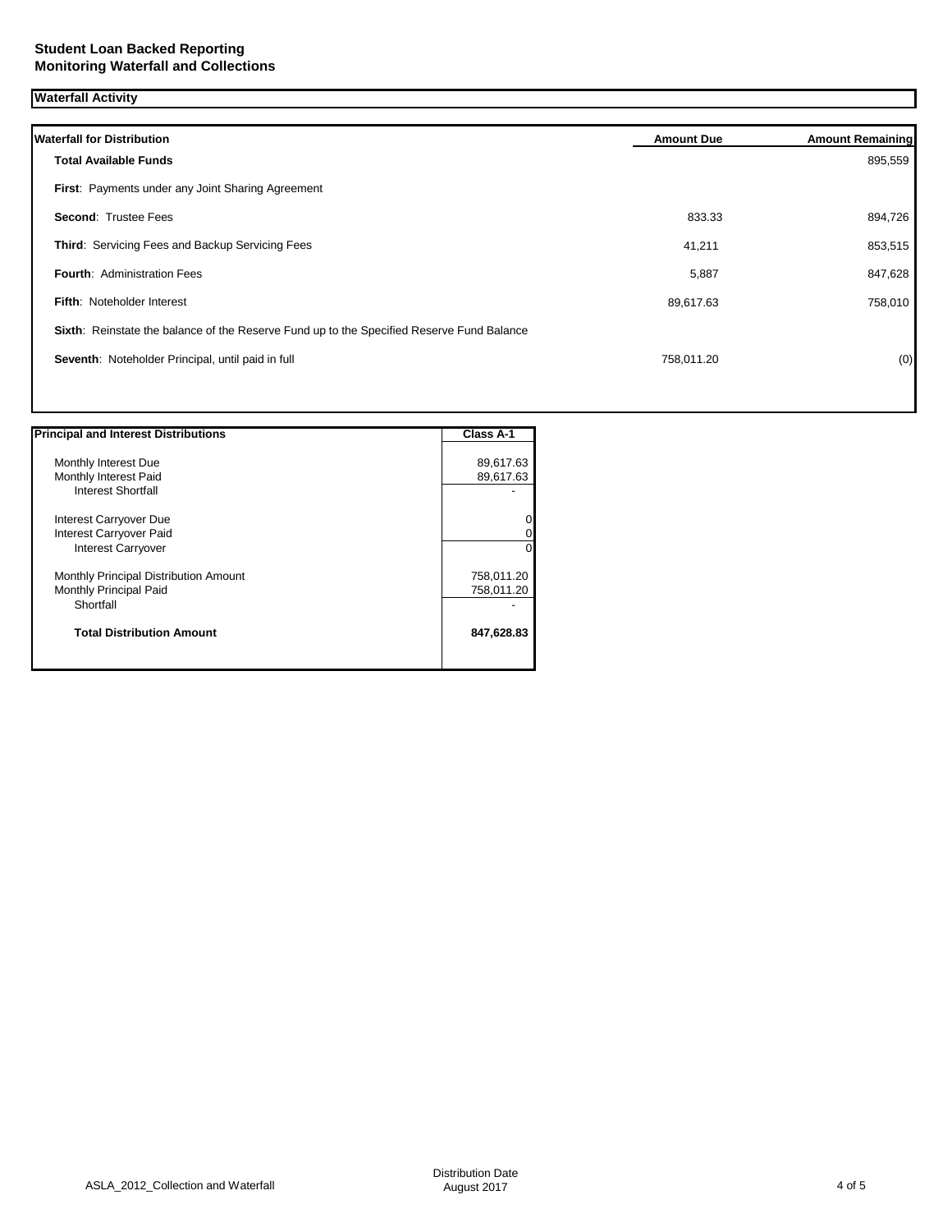| <b>Waterfall Activity</b>                                                                 |                   |                         |
|-------------------------------------------------------------------------------------------|-------------------|-------------------------|
| <b>Waterfall for Distribution</b>                                                         | <b>Amount Due</b> | <b>Amount Remaining</b> |
| <b>Total Available Funds</b>                                                              |                   | 895,559                 |
| First: Payments under any Joint Sharing Agreement                                         |                   |                         |
| <b>Second: Trustee Fees</b>                                                               | 833.33            | 894,726                 |
| Third: Servicing Fees and Backup Servicing Fees                                           | 41,211            | 853,515                 |
| <b>Fourth: Administration Fees</b>                                                        | 5,887             | 847,628                 |
| <b>Fifth: Noteholder Interest</b>                                                         | 89,617.63         | 758,010                 |
| Sixth: Reinstate the balance of the Reserve Fund up to the Specified Reserve Fund Balance |                   |                         |
| Seventh: Noteholder Principal, until paid in full                                         | 758,011.20        | (0)                     |
|                                                                                           |                   |                         |

| <b>Principal and Interest Distributions</b> | Class A-1  |
|---------------------------------------------|------------|
| Monthly Interest Due                        | 89,617.63  |
| Monthly Interest Paid                       | 89,617.63  |
| <b>Interest Shortfall</b>                   |            |
| Interest Carryover Due                      |            |
| Interest Carryover Paid                     |            |
| <b>Interest Carryover</b>                   |            |
| Monthly Principal Distribution Amount       | 758,011.20 |
| Monthly Principal Paid                      | 758,011.20 |
| Shortfall                                   |            |
| <b>Total Distribution Amount</b>            | 847,628.83 |
|                                             |            |